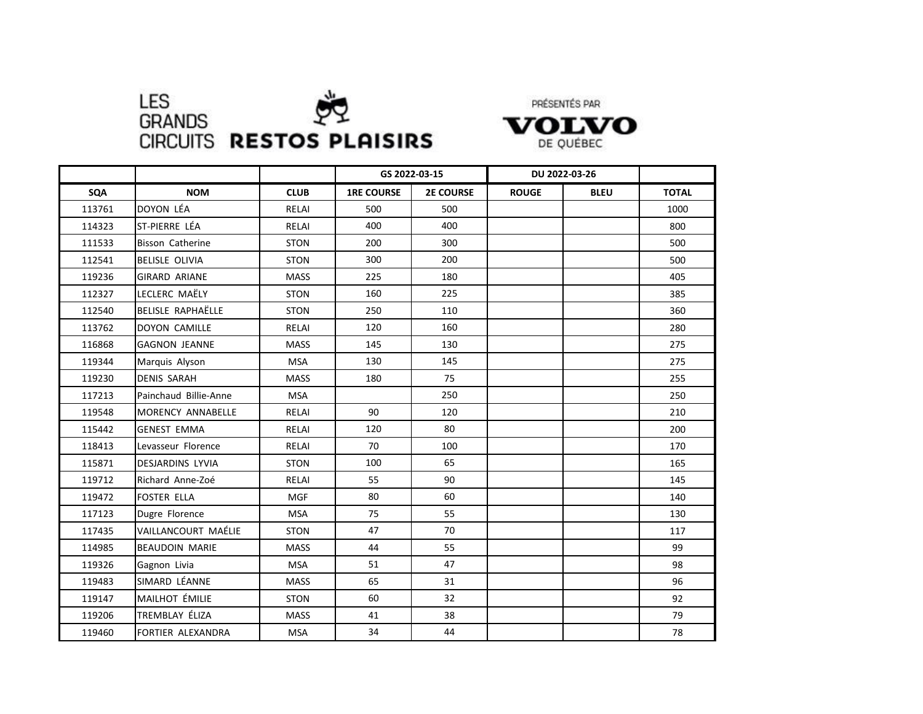

PRÉSENTÉS PAR



|            |                            |             | GS 2022-03-15     |                  | DU 2022-03-26 |             |              |
|------------|----------------------------|-------------|-------------------|------------------|---------------|-------------|--------------|
| <b>SQA</b> | <b>NOM</b>                 | <b>CLUB</b> | <b>1RE COURSE</b> | <b>2E COURSE</b> | <b>ROUGE</b>  | <b>BLEU</b> | <b>TOTAL</b> |
| 113761     | DOYON LÉA                  | RELAI       | 500               | 500              |               |             | 1000         |
| 114323     | ST-PIERRE LÉA              | RELAI       | 400               | 400              |               |             | 800          |
| 111533     | <b>Bisson Catherine</b>    | <b>STON</b> | 200               | 300              |               |             | 500          |
| 112541     | <b>BELISLE OLIVIA</b>      | <b>STON</b> | 300               | 200              |               |             | 500          |
| 119236     | <b>GIRARD ARIANE</b>       | <b>MASS</b> | 225               | 180              |               |             | 405          |
| 112327     | LECLERC MAËLY              | <b>STON</b> | 160               | 225              |               |             | 385          |
| 112540     | <b>BELISLE RAPHAËLLE</b>   | <b>STON</b> | 250               | 110              |               |             | 360          |
| 113762     | <b>DOYON CAMILLE</b>       | RELAI       | 120               | 160              |               |             | 280          |
| 116868     | <b>GAGNON JEANNE</b>       | <b>MASS</b> | 145               | 130              |               |             | 275          |
| 119344     | Marquis Alyson             | <b>MSA</b>  | 130               | 145              |               |             | 275          |
| 119230     | <b>DENIS SARAH</b>         | <b>MASS</b> | 180               | 75               |               |             | 255          |
| 117213     | Painchaud Billie-Anne      | <b>MSA</b>  |                   | 250              |               |             | 250          |
| 119548     | MORENCY ANNABELLE          | RELAI       | 90                | 120              |               |             | 210          |
| 115442     | <b>GENEST EMMA</b>         | RELAI       | 120               | 80               |               |             | 200          |
| 118413     | Levasseur Florence         | RELAI       | 70                | 100              |               |             | 170          |
| 115871     | <b>DESJARDINS LYVIA</b>    | <b>STON</b> | 100               | 65               |               |             | 165          |
| 119712     | Richard Anne-Zoé           | RELAI       | 55                | 90               |               |             | 145          |
| 119472     | <b>FOSTER ELLA</b>         | <b>MGF</b>  | 80                | 60               |               |             | 140          |
| 117123     | Dugre Florence             | <b>MSA</b>  | 75                | 55               |               |             | 130          |
| 117435     | <b>VAILLANCOURT MAÉLIE</b> | <b>STON</b> | 47                | 70               |               |             | 117          |
| 114985     | <b>BEAUDOIN MARIE</b>      | <b>MASS</b> | 44                | 55               |               |             | 99           |
| 119326     | Gagnon Livia               | <b>MSA</b>  | 51                | 47               |               |             | 98           |
| 119483     | SIMARD LÉANNE              | <b>MASS</b> | 65                | 31               |               |             | 96           |
| 119147     | MAILHOT ÉMILIE             | <b>STON</b> | 60                | 32               |               |             | 92           |
| 119206     | TREMBLAY ÉLIZA             | <b>MASS</b> | 41                | 38               |               |             | 79           |
| 119460     | FORTIER ALEXANDRA          | <b>MSA</b>  | 34                | 44               |               |             | 78           |